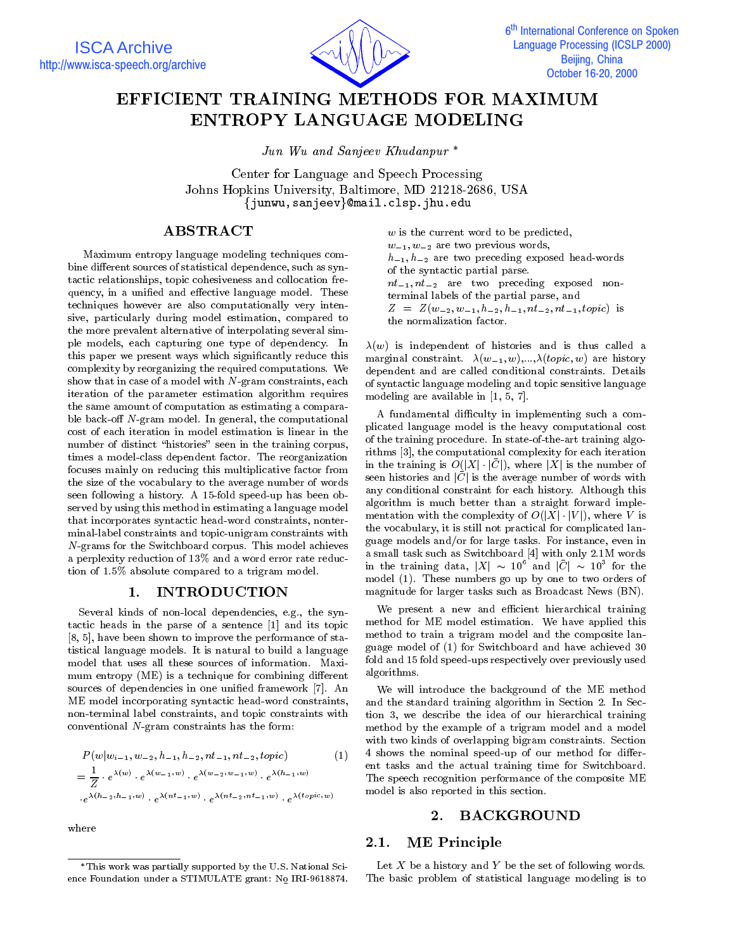

## EFFICIENT TRAINING METHODS FOR MAXIMUM ENTROPY LANGUAGE MODELING

Jun Wu and Sanjeev Khudanpur

Center for Language and Speech Processing Johns Hopkins University, Baltimore, MD 21218-2686, USA {junwu,sanjeev}@mail.clsp.jhu.edu

### ABSTRACT

Maximum entropy language modeling techniques combine different sources of statistical dependence, such as syntactic relationships, topic cohesiveness and collocation frequency, in a unified and effective language model. These techniques however are also computationally very intensive, particularly during model estimation, compared to the more prevalent alternative of interpolating several simple models, each capturing one type of dependency. In this paper we present ways which signicantly reduce this complexity by reorganizing the required computations. We show that in case of a model with N-gram constraints, each iteration of the parameter estimation algorithm requires the same amount of computation as estimating a comparable back-off  $N$ -gram model. In general, the computational cost of each iteration in model estimation is linear in the number of distinct "histories" seen in the training corpus, times a model-class dependent factor. The reorganization focuses mainly on reducing this multiplicative factor from the size of the vocabulary to the average number of words seen following a history. A 15-fold speed-up has been ob served by using this method in estimating a language model that incorporates syntactic head-word constraints, nonterminal-label constraints and topic-unigram constraints with N-grams for the Switchboard corpus. This model achieves a perplexity reduction of 13% and a word error rate reduction of 1.5% absolute compared to a trigram model.

#### 1. INTRODUCTION

Several kinds of non-local dependencies, e.g., the syntactic heads in the parse of a sentence [1] and its topic [8, 5], have been shown to improve the performance of statistical language models. It is natural to build a language model that uses all these sources of information. Maxi mum entropy (ME) is a technique for combining different sources of dependencies in one unied framework [7]. An ME model incorporating syntactic head-word constraints, non-terminal label constraints, and topic constraints with conventional N-gram constraints has the form:

$$
P(w|w_{i-1}, w_{-2}, h_{-1}, h_{-2}, nt_{-1}, nt_{-2}, topic) \qquad (1) \qquad 4 \text{ s}
$$
  
=  $\frac{1}{Z} \cdot e^{\lambda(w)} \cdot e^{\lambda(w_{-1}, w)} \cdot e^{\lambda(w_{-2}, w_{-1}, w)} \cdot e^{\lambda(h_{-1}, w)} \qquad \text{Th}$   
 $\cdot e^{\lambda(h_{-2}, h_{-1}, w)} \cdot e^{\lambda(nt_{-1}, w)} \cdot e^{\lambda(nt_{-2}, nt_{-1}, w)} \cdot e^{\lambda(topic, w)}$ mo

where

w is the current word to be predicted,  $w_{-1}, w_{-2}$  are two previous words,  $h_{-1}$ ,  $h_{-2}$  are two preceding exposed head-words of the syntactic partial parse.  $nt_{-1}$ ,  $nt_{-2}$  are two preceding exposed nonterminal labels of the partial parse, and  $Z = Z(w_{-2}, w_{-1}, u_{-2}, u_{-1}, u_{-2}, u_{-1}, \omega)$  is the normalization factor.

 $\lambda(w)$  is independent of histories and is thus called a marginal constraint.  $\lambda(w_{-1}, w),...,\lambda(topic, w)$  are history dependent and are called conditional constraints. Details of syntactic language modeling and topic sensitive language modeling are available in [1, 5, 7].

A fundamental difficulty in implementing such a complicated language model is the heavy computational cost of the training procedure. In state-of-the-art training algorithms [3], the computational complexity for each iteration in the training is  $O(|X|\cdot |C|),$  where  $|X|$  is the number of seen histories and  $|C|$  is the average number of words with any conditional constraint for each history. Although this algorithm is much better than a straight forward imple mentation with the complexity of  $O(|X| \cdot |V|)$ , where V is the vocabulary, it is still not practical for complicated language models and/or for large tasks. For instance, even in a small task such as Switchboard [4] with only 2.1M words in the training data,  $|X| \, \sim \, 10^6$  and  $|C| \, \sim \, 10^3$  for the model (1). These numbers go up by one to two orders of magnitude for larger tasks such as Broadcast News (BN).

We present a new and efficient hierarchical training method for ME model estimation. We have applied this method to train a trigram model and the composite language model of (1) for Switchboard and have achieved 30 fold and 15 fold speed-ups respectively over previously used algorithms.

We will introduce the background of the ME method and the standard training algorithm in Section 2. In Section 3, we describe the idea of our hierarchical training method by the example of a trigram model and a model with two kinds of overlapping bigram constraints. Section 4 shows the nominal speed-up of our method for different tasks and the actual training time for Switchboard. The speech recognition performance of the composite ME model is also reported in this section.

#### 2.1. ME Principle

Let  $X$  be a history and  $Y$  be the set of following words. The basic problem of statistical language modeling is to

This work was partially supported by the U.S. National Science Foundation under a STIMULATE grant: No. 1961874. In the state grant: No. 1961874. In the state grant: No.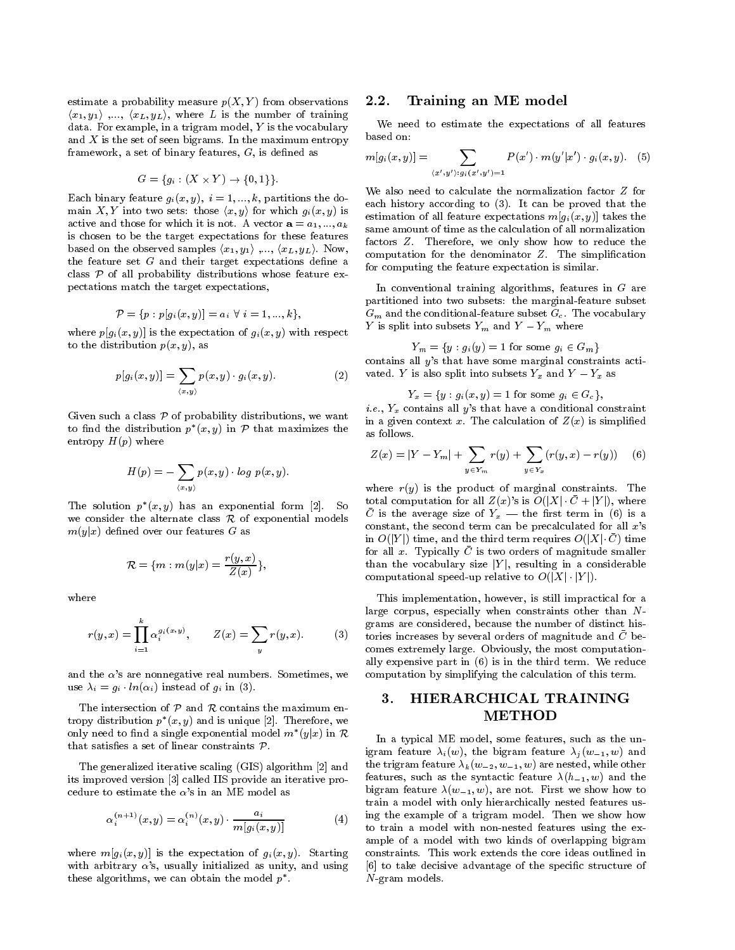estimate a probability measure  $p(X, Y)$  from observations 2.2.  $\langle x_1, y_1 \rangle$  ,...,  $\langle x_L, y_L \rangle$ , where L is the number of training data. For example, in a trigram model,  $Y$  is the vocabulary and  $X$  is the set of seen bigrams. In the maximum entropy framework, a set of binary features,  $G$ , is defined as

$$
G = \{ g_i : (X \times Y) \to \{0, 1\} \}.
$$

Each binary feature  $g_i(x, y)$ ,  $i = 1, ..., k$ , partitions the domain X, Y into two sets: those  $\langle x, y \rangle$  for which  $g_i(x, y)$  is active and those for which it is not. A vector  $\mathbf{a} = a_1, ..., a_k$ is chosen to be the target expectations for these features based on the observed samples  $\langle x_1, y_1 \rangle$  ,...,  $\langle x_L, y_L \rangle$ . Now, the feature set  $G$  and their target expectations define a class  $P$  of all probability distributions whose feature expectations match the target expectations,

$$
\mathcal{P}=\{p: p[g_i(x,y)]=a_i\,\,\forall\,\,i=1,...,k\},
$$

where  $p[g_i(x, y)]$  is the expectation of  $g_i(x, y)$  with respect to the distribution  $p(x, y)$ , as

$$
p[g_i(x, y)] = \sum_{\langle x, y \rangle} p(x, y) \cdot g_i(x, y). \tag{2}
$$

Given such a class  $P$  of probability distributions, we want to find the distribution  $p^*(x, y)$  in P that maximizes the  $\epsilon_{\alpha}$ entropy  $H(p)$  where

$$
H(p) = -\sum_{\langle x,y \rangle} p(x,y) \cdot log \ p(x,y).
$$

The solution  $p(x, y)$  has an exponential form [2]. So  $\Box$ we consider the alternate class  $R$  of exponential models  $m(y|x)$  defined over our features G as

$$
\mathcal{R}=\{m: m(y|x)=\frac{r(y,x)}{Z(x)}\},
$$

where

$$
r(y,x) = \prod_{i=1}^{k} \alpha_i^{g_i(x,y)}, \qquad Z(x) = \sum_{y} r(y,x). \qquad (3) \quad \text{for} \quad \text{cor}
$$

and the  $\alpha$ 's are nonnegative real numbers. Sometimes, we use  $\lambda_i = q_i \cdot in(\alpha_i)$  instead of  $q_i$  in (3).

The intersection of  $P$  and  $R$  contains the maximum entropy distribution  $p_-(x, y)$  and is unique  $|z|$ . Therefore, we only need to find a single exponential model  $m^*(y|x)$  in  $\mathcal{R}$  is a strip that satisfies a set of linear constraints  $P$ .

The generalized iterative scaling (GIS) algorithm [2] and its improved version [3] called IIS provide an iterative procedure to estimate the  $\alpha$ 's in an ME model as

$$
\alpha_i^{(n+1)}(x,y) = \alpha_i^{(n)}(x,y) \cdot \frac{a_i}{m[g_i(x,y)]}
$$
 (4)

where  $m[g_i(x, y)]$  is the expectation of  $g_i(x, y)$ . Starting with arbitrary  $\alpha$ 's, usually initialized as unity, and using these algorithms, we can obtain the model  $p$  .  $\hspace{0.2cm}$ 

#### Training an ME model

We need to estimate the expectations of all features based on:

$$
m[g_i(x,y)] = \sum_{\langle x',y' \rangle: g_i(x',y')=1} P(x') \cdot m(y'|x') \cdot g_i(x,y). \quad (5)
$$

 same amount of time as the calculation of all normalization We also need to calculate the normalization factor <sup>Z</sup> for each history according to (3). It can be proved that the estimation of all feature expectations  $m[g_i(x, y)]$  takes the factors Z. Therefore, we only show how to reduce the computation for the denominator  $Z$ . The simplification for computing the feature expectation is similar.

In conventional training algorithms, features in <sup>G</sup> are partitioned into two subsets: the marginal-feature subset  $G_{\rm eff}$  and the conditional-feature subset  $G_{\rm eff}$  the vocabulary subset  $\mu$  $I_{\mu}$  is split little subsets  $I_{\mu}$  and  $I_{\mu} - I_{\mu}$  where

 $Y_m = \{y: g_i(y) = 1 \text{ for some } g_i \in G_m\}$ contains all <sup>y</sup>'s that have some marginal constraints acti vated. Y is also split into subsets  $Y_x$  and  $Y - Y_x$  as

 $Y_x = \{y : g_i(x, y) = 1 \text{ for some } g_i \in G_c\},\$ 

*i.e.*,  $Y_x$  contains all y's that have a conditional constraint in a given context x. The calculation of  $Z(x)$  is simplified as follows.

$$
Z(x) = |Y - Y_m| + \sum_{y \in Y_m} r(y) + \sum_{y \in Y_x} (r(y, x) - r(y)) \quad (6)
$$

where  $r(y)$  is the product of marginal constraints. The total computation for all  $Z(x)$ 's is  $O(|X| \cdot \bar{C} + |Y|)$ , where  $\cup$  is the average size of  $1x$  and the mist term in (6) is a constant, the second term can be precalculated for all  $x$ 's in  $O(|Y|)$  time, and the third term requires  $O(|X| \cdot \bar{C})$  time for all x. Typically  $\bar{C}$  is two orders of magnitude smaller than the vocabulary size  $|Y|$ , resulting in a considerable computational speed-up relative to  $O(|X| \cdot |Y|)$ .

 $Z(x) = \sum_{i=1}^{n} r(y, x)$ . (3) tories increases by several orders of magnitude and  $\overline{C}$  be-This implementation, however, is still impractical for a large corpus, especially when constraints other than N-grams are considered, because the number of distinct hiscomes extremely large. Obviously, the most computationally expensive part in (6) is in the third term. We reduce computation by simplifying the calculation of this term.

# 3. HIERARCHICAL TRAINING

 $m[g_i(x,y)]$  (4) to train a model with non-nested features using the ex-In a typical ME model, some features, such as the unigram feature  $\lambda_i(w)$ , the bigram feature  $\lambda_i(w_{-1}, w)$  and the trigram feature  $\lambda_k(w_{-2}, w_{-1}, w)$  are nested, while other features, such as the syntactic feature  $\lambda(h_{-1}, w)$  and the bigram feature  $\lambda(w_{-1}, w)$ , are not. First we show how to train a model with only hierarchically nested features using the example of a trigram model. Then we show how ample of a model with two kinds of overlapping bigram constraints. This work extends the core ideas outlined in [6] to take decisive advantage of the specific structure of N-gram models.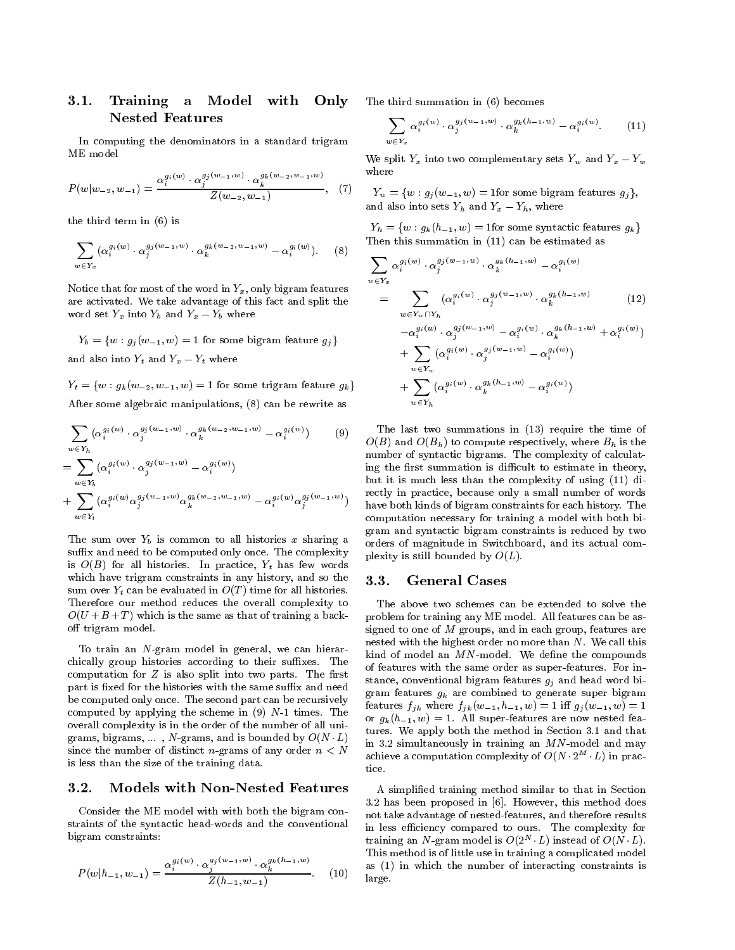#### 3.1. Training a Model with Only Nested Features

In computing the denominators in a standard trigram ME model

$$
P(w|w_{-2}, w_{-1}) = \frac{\alpha_i^{g_i(w)} \cdot \alpha_j^{g_j(w_{-1}, w)} \cdot \alpha_k^{g_k(w_{-2}, w_{-1}, w)}}{Z(w_{-2}, w_{-1})}, \quad (7
$$

the third term in (6) is

$$
\sum_{w \in Y_x} (\alpha_i^{g_i(w)} \cdot \alpha_j^{g_j(w_{-1},w)} \cdot \alpha_k^{g_k(w_{-2},w_{-1},w)} - \alpha_i^{g_i(w)}).
$$
 (8)

Notice that for most of the word in  $Y_x$ , only bigram features are activated. We take advantage of this fact and split the word set  $Y_x$  into  $Y_b$  and  $Y_x = Y_b$  where

 $Y_b = \{w: g_j(w_{-1}, w) = 1 \text{ for some bigram feature } g_j\}$ and also into  $Y_t$  and  $Y_x - Y_t$  where

 $Y_t = \{w: g_k(w_{-2}, w_{-1}, w) = 1 \text{ for some trigram feature } g_k\}$ After some algebraic manipulations, (8) can be rewrite as

$$
\sum_{w \in Y_h} (\alpha_i^{g_i(w)} \cdot \alpha_j^{g_j(w_{-1},w)} \cdot \alpha_k^{g_k(w_{-2},w_{-1},w)} - \alpha_i^{g_i(w)})
$$
\n
$$
= \sum (\alpha_i^{g_i(w)} \cdot \alpha_j^{g_j(w_{-1},w)} - \alpha_i^{g_i(w)})
$$
\n(9)

$$
+ \sum_{w \in Y_t} (\alpha_i^{g_i(w)} \alpha_j^{g_j(w_{-1},w)} \alpha_k^{g_k(w_{-2},w_{-1},w)} - \alpha_i^{g_i(w)} \alpha_j^{g_j(w_{-1},w)}) \prod_{i=0}^r
$$

 $T$  is common to sum over  $T$  is common to all the sharing and  $T$  and  $T$  and  $T$  and  $T$  and  $T$  and  $T$  and  $T$  and  $T$  and  $T$  and  $T$  and  $T$  and  $T$  and  $T$  and  $T$  and  $T$  and  $T$  and  $T$  and  $T$  and  $T$  and  $T$  an suffix and need to be computed only once. The complexity is O(B) for all histories. In practice, Yt has few words which have trigram constraints in any history, and so the 3.3. sum over  $Y_t$  can be evaluated in  $O(T)$  time for all histories. Therefore our method reduces the overall complexity to  $O(U + B + T)$  which is the same as that of training a backoff trigram model.

To train an N-gram model in general, we can hierar chically group histories according to their suffixes. The computation for  $Z$  is also split into two parts. The first part is fixed for the histories with the same suffix and need be computed only once. The second part can be recursively computed by applying the scheme in  $(9)$  N-1 times. The overall complexity is in the order of the number of all unigrams, bigrams, ..., N-grams, and is bounded by  $O(N/L)$ since the number of distinct *n*-grams of any order  $n < N$ is less than the size of the training data.

#### 3.2. Models with Non-Nested Features

Consider the ME model with with both the bigram constraints of the syntactic head-words and the conventional bigram constraints:

$$
P(w|h_{-1}, w_{-1}) = \frac{\alpha_i^{g_i(w)} \cdot \alpha_j^{g_j(w_{-1}, w)} \cdot \alpha_k^{g_k(h_{-1}, w)}}{Z(h_{-1}, w_{-1})}.
$$
 (10)

The third summation in (6) becomes

$$
\sum_{w \in Y_x} \alpha_i^{g_i(w)} \cdot \alpha_j^{g_j(w_{-1},w)} \cdot \alpha_k^{g_k(h_{-1},w)} - \alpha_i^{g_i(w)}.
$$
 (11)

We split  $Y_x$  into two complementary sets  $Y_w$  and  $Y_x - Y_w$ where

 $Y^{\{V\}}$   $Y_w = \{w : g_j(w_{-1}, w) = 1$  for some bigram features  $g_j\},$ and also into sets  $I_h$  and  $I_x = I_h$ , where

 $Y_h = \{w : g_k(h_{-1}, w) = 1$ for some syntactic features  $g_k\}$ Then this summation in (11) can be estimated as

$$
\sum_{w \in Y_x} \alpha_i^{g_i(w)} \cdot \alpha_j^{g_j(w_{-1},w)} \cdot \alpha_k^{g_k(h_{-1},w)} - \alpha_i^{g_i(w)} \n= \sum_{w \in Y_w \cap Y_h} (\alpha_i^{g_i(w)} \cdot \alpha_j^{g_j(w_{-1},w)} \cdot \alpha_k^{g_k(h_{-1},w)} -\alpha_i^{g_i(w)} \cdot \alpha_j^{g_j(w_{-1},w)} - \alpha_i^{g_i(w)} \cdot \alpha_k^{g_k(h_{-1},w)} + \alpha_i^{g_i(w)} \n+ \sum_{w \in Y_w} (\alpha_i^{g_i(w)} \cdot \alpha_j^{g_j(w_{-1},w)} - \alpha_i^{g_i(w)}) \n+ \sum_{w \in Y_w} (\alpha_i^{g_i(w)} \cdot \alpha_k^{g_k(h_{-1},w)} - \alpha_i^{g_i(w)}) \n+ \sum_{w \in Y_h} (\alpha_i^{g_i(w)} \cdot \alpha_k^{g_k(h_{-1},w)} - \alpha_i^{g_i(w)})
$$
\n(12)

 $\overline{O(B)}$  and  $\overline{O(B_h)}$  to compute respectively, where  $B_h$  is the  $\sim$  - have both kinds of bigram constraints for each history. The The last two summations in (13) require the time of number of syntactic bigrams. The complexity of calculating the first summation is difficult to estimate in theory, but it is much less than the complexity of using (11) directly in practice, because only a small number of words computation necessary for training a model with both bigram and syntactic bigram constraints is reduced by two orders of magnitude in Switchboard, and its actual complexity is still bounded by  $O(L)$ .

#### General Cases

The above two schemes can be extended to solve the problem for training any ME model. All features can be assigned to one of <sup>M</sup> groups, and in each group, features are nested with the highest order no more than N. We call this kind of model an  $MN$ -model. We define the compounds of features with the same order as super-features. For instance, conventional bigram features  $g_i$  and head word bigram features gk are combined to generate super bigram reatures  $f_{ik}$  where  $f_{ik} (w_{-1}, n_{-1}, w) = 1$  in  $g_i (w_{-1}, w) = 1$ or  $g_k(h_{-1}, w) = 1$ . All super-features are now nested features. We apply both the method in Section 3.1 and that in 3.2 simultaneously in training an  $MN$ -model and may achieve a computation complexity of  $O(N \cdot 2^M \cdot L)$  in practice.

\compare. A simplied training method similar to that in Section 3.2 has been proposed in [6]. However, this method does not take advantage of nested-features, and therefore results in less efficiency compared to ours. The complexity for training an *N*-gram model is  $O(2+A)$  instead of  $O(N+L)$ . This method is of little use in training a complicated model as (1) in which the number of interacting constraints is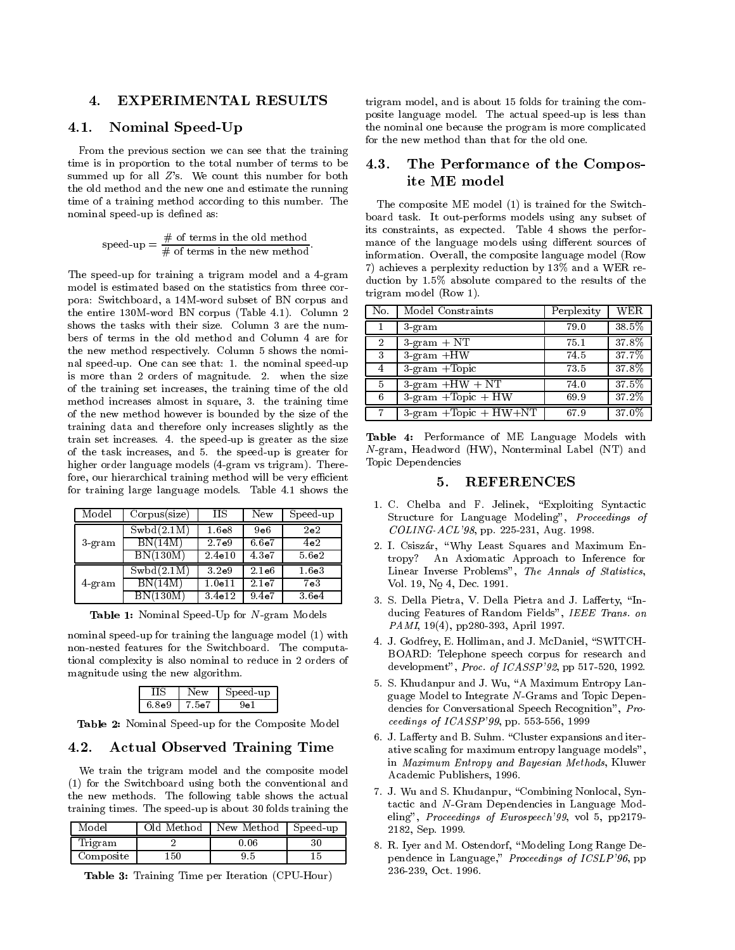#### 4. EXPERIMENTAL RESULTS

#### 4.1. Nominal Speed-Up

From the previous section we can see that the training time is in proportion to the total number of terms to be  $4.3.$ summed up for all  $Z$ 's. We count this number for both the old method and the new one and estimate the running time of a training method according to this number. The nominal speed-up is defined as:

$$
\text{speed-up} = \frac{\# \text{ of terms in the old method}}{\# \text{ of terms in the new method}}.
$$

The speed-up for training a trigram model and a 4-gram model is estimated based on the statistics from three corpora: Switchboard, a 14M-word subset of BN corpus and the entire 130M-word BN corpus (Table 4.1). Column 2 shows the tasks with their size. Column 3 are the num bers of terms in the old method and Column 4 are for the new method respectively. Column 5 shows the nominal speed-up. One can see that: 1. the nominal speed-up is more than 2 orders of magnitude. 2. when the size of the training set increases, the training time of the old method increases almost in square, 3. the training time of the new method however is bounded by the size of the training data and therefore only increases slightly as the train set increases. 4. the speed-up is greater as the size of the task increases, and 5. the speed-up is greater for higher order language models (4-gram vs trigram). Therefore, our hierarchical training method will be very efficient for training large language models. Table 4.1 shows the

| Model              | Corpus(size) | НS                 | New                | Speed-up           |                |
|--------------------|--------------|--------------------|--------------------|--------------------|----------------|
|                    | Swbd(2.1M)   | 1.6 <sub>e8</sub>  | 9e6                | 2e2                |                |
| 3-gram             | BN(14M)      | 2.7 <sub>e</sub> 9 | 6.6 <sub>e</sub> 7 | 4e2                | $\overline{2}$ |
|                    | BN(130M)     | 2.4e10             | 4.3e7              | 5.6 <sub>e2</sub>  |                |
|                    | Swbd(2.1M)   | 3.2e9              | $2.1\mathrm{e}{6}$ | 1.6 <sub>e</sub> 3 |                |
| $4\,\mathrm{gram}$ | BN(14M)      | $1.0$ e $11$       | 2.1 <sub>e</sub> 7 | 7e3                |                |
|                    | BN(130M)     | 3.4e12             | 9.4 <sub>e</sub> 7 | 3.6 <sub>e</sub> 4 | $\Omega$       |

Table 1: Nominal Speed-Up for N-gram Models

nominal speed-up for training the language model (1) with non-nested features for the Switchboard. The computational complexity is also nominal to reduce in 2 orders of magnitude using the new algorithm.

|       | ≏W              | peed-up} |
|-------|-----------------|----------|
| 6.8e9 | ne <sup>7</sup> |          |

Table 2: Nominal Speed-up for the Composite Model

#### 4.2. Actual Observed Training Time

We train the trigram model and the composite model (1) for the Switchboard using both the conventional and the new methods. The following table shows the actual training times. The speed-up is about 30 folds training the

| Model     | .)ld Method | New Method | Speed-up |    |
|-----------|-------------|------------|----------|----|
| Trigram   |             | 0.06       | 30       | ο. |
| Composite | 150         | 9.5        |          |    |

Table 3: Training Time per Iteration (CPU-Hour)

trigram model, and is about 15 folds for training the composite language model. The actual speed-up is less than the nominal one because the program is more complicated for the new method than that for the old one.

#### The Performance of the Composite ME model

The composite ME model (1) is trained for the Switchboard task. It out-performs models using any subset of its constraints, as expected. Table 4 shows the perfor mance of the language models using different sources of information. Overall, the composite language model (Row 7) achieves a perplexity reduction by 13% and a WER reduction by 1.5% absolute compared to the results of the trigram model (Row 1).

| No.            | Model Constraints                                      | Perplexity | WER   |
|----------------|--------------------------------------------------------|------------|-------|
|                | $3 - gram$                                             | 79.0       | 38.5% |
| $\overline{2}$ | $3\text{-gram} + \text{NT}$                            | 75.1       | 37.8% |
| -3             | $3$ -gram $+HW$                                        | 74.5       | 37.7% |
| 4              | $3\text{-gram} + \text{Topic}$                         | 73.5       | 37.8% |
| 5              | $3\text{-gram} + HW + NT$                              | 74.0       | 37.5% |
| 6              | $3\text{-gram} + \text{Topic} + \text{HW}$             | 69.9       | 37.2% |
|                | $3\text{-gram} + \text{Topic} + \text{HW} + \text{NT}$ | 67.9       | 37.0% |

Table 4: Performance of ME Language Models with N-gram, Headword (HW), Nonterminal Label (NT) and Topic Dependencies

#### **REFERENCES** 5.

- 1. C. Chelba and F. Jelinek, "Exploiting Syntactic Structure for Language Modeling", Proceedings of COLING-ACL'98, pp. 225-231, Aug. 1998.
- 2. I. Csiszár, "Why Least Squares and Maximum Entropy? An Axiomatic Approach to Inference for Linear Inverse Problems", The Annals of Statistics, Vol. 19, No 4, Dec. 1991.
- 3. S. Della Pietra, V. Della Pietra and J. Lafferty, "Inducing Features of Random Fields", IEEE Trans. on PAMI, 19(4), pp280-393, April 1997.
- 4. J. Godfrey, E. Holliman, and J. McDaniel, "SWITCH-BOARD: Telephone speech corpus for research and development", Proc. of ICASSP'92, pp 517-520, 1992.
- 5. S. Khudanpur and J. Wu, "A Maximum Entropy Language Model to Integrate  $N$ -Grams and Topic Dependencies for Conversational Speech Recognition", Pro ceedings of ICASSP'99, pp. 553-556, 1999
- 6. J. Lafferty and B. Suhm. "Cluster expansions and iterative scaling for maximum entropy language models", in Maximum Entropy and Bayesian Methods, Kluwer Academic Publishers, 1996.
- 7. J. Wu and S. Khudanpur, "Combining Nonlocal, Syntactic and N-Gram Dependencies in Language Modeling", Proceedings of Eurospeech'99, vol 5, pp2179- 2182, Sep. 1999.
- 8. R. Iyer and M. Ostendorf, "Modeling Long Range Dependence in Language," Proceedings of ICSLP'96, pp 236-239, Oct. 1996.